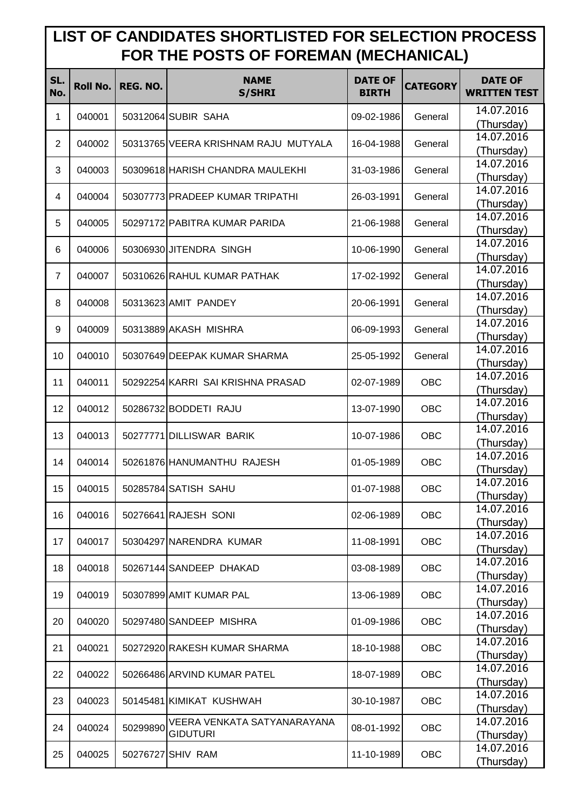## **LIST OF CANDIDATES SHORTLISTED FOR SELECTION PROCESS FOR THE POSTS OF FOREMAN (MECHANICAL)**

| SL.<br>No.     | <b>Roll No.</b> | REG. NO. | <b>NAME</b><br><b>S/SHRI</b>         | <b>DATE OF</b><br><b>BIRTH</b> | <b>CATEGORY</b> | <b>DATE OF</b><br><b>WRITTEN TEST</b> |
|----------------|-----------------|----------|--------------------------------------|--------------------------------|-----------------|---------------------------------------|
| 1              | 040001          |          | 50312064 SUBIR SAHA                  | 09-02-1986                     | General         | 14.07.2016<br>(Thursday)              |
| $\overline{2}$ | 040002          |          | 50313765 VEERA KRISHNAM RAJU MUTYALA | 16-04-1988                     | General         | 14.07.2016<br>(Thursday)              |
| 3              | 040003          |          | 50309618 HARISH CHANDRA MAULEKHI     | 31-03-1986                     | General         | 14.07.2016<br>(Thursday)              |
| 4              | 040004          |          | 50307773 PRADEEP KUMAR TRIPATHI      | 26-03-1991                     | General         | 14.07.2016<br>(Thursday)              |
| 5              | 040005          |          | 50297172 PABITRA KUMAR PARIDA        | 21-06-1988                     | General         | 14.07.2016<br>(Thursday)              |
| 6              | 040006          |          | 50306930 JITENDRA SINGH              | 10-06-1990                     | General         | 14.07.2016                            |
| $\overline{7}$ | 040007          |          | 50310626 RAHUL KUMAR PATHAK          | 17-02-1992                     | General         | (Thursday)<br>14.07.2016              |
| 8              | 040008          |          | 50313623 AMIT PANDEY                 | 20-06-1991                     | General         | (Thursday)<br>14.07.2016              |
| 9              | 040009          |          | 50313889 AKASH MISHRA                | 06-09-1993                     | General         | (Thursday)<br>14.07.2016              |
| 10             | 040010          |          | 50307649 DEEPAK KUMAR SHARMA         | 25-05-1992                     | General         | (Thursday)<br>14.07.2016              |
| 11             | 040011          |          | 50292254 KARRI SAI KRISHNA PRASAD    | 02-07-1989                     | <b>OBC</b>      | (Thursday)<br>14.07.2016              |
| 12             | 040012          |          | 50286732 BODDETI RAJU                | 13-07-1990                     | OBC             | (Thursday)<br>14.07.2016              |
| 13             | 040013          |          | 50277771 DILLISWAR BARIK             | 10-07-1986                     | <b>OBC</b>      | (Thursday)<br>14.07.2016              |
| 14             | 040014          |          | 50261876 HANUMANTHU RAJESH           | 01-05-1989                     | <b>OBC</b>      | (Thursday)<br>14.07.2016              |
| 15             | 040015          |          | 50285784 SATISH SAHU                 | 01-07-1988                     | OBC             | (Thursday)<br>14.07.2016              |
| 16             | 040016          |          | 50276641 RAJESH SONI                 | 02-06-1989                     | OBC             | (Thursday)<br>14.07.2016              |
| 17             | 040017          |          | 50304297 NARENDRA KUMAR              | 11-08-1991                     | OBC             | (Thursday)<br>14.07.2016              |
| 18             | 040018          |          | 50267144 SANDEEP DHAKAD              | 03-08-1989                     | <b>OBC</b>      | (Thursday)<br>14.07.2016              |
| 19             | 040019          |          | 50307899 AMIT KUMAR PAL              | 13-06-1989                     | OBC             | (Thursday)<br>14.07.2016              |
| 20             | 040020          |          | 50297480 SANDEEP MISHRA              | 01-09-1986                     | OBC             | (Thursday)<br>14.07.2016              |
| 21             | 040021          |          | 50272920 RAKESH KUMAR SHARMA         | 18-10-1988                     | OBC             | (Thursday)<br>14.07.2016              |
| 22             | 040022          |          | 50266486 ARVIND KUMAR PATEL          | 18-07-1989                     | OBC             | (Thursday)<br>14.07.2016              |
| 23             | 040023          |          | 50145481 KIMIKAT KUSHWAH             | 30-10-1987                     | OBC             | (Thursday)<br>14.07.2016              |
|                |                 |          | VEERA VENKATA SATYANARAYANA          |                                | OBC             | (Thursday)<br>14.07.2016              |
| 24             | 040024          | 50299890 | <b>GIDUTURI</b>                      | 08-01-1992                     |                 | (Thursday)<br>14.07.2016              |
| 25             | 040025          |          | 50276727 SHIV RAM                    | 11-10-1989                     | OBC             | (Thursday)                            |